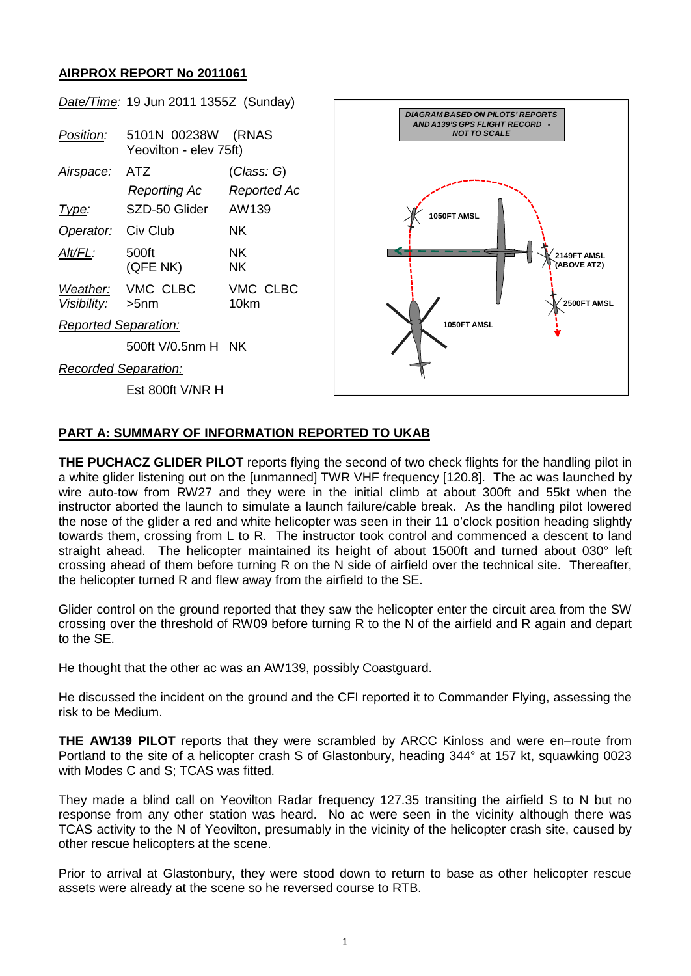## **AIRPROX REPORT No 2011061**



## **PART A: SUMMARY OF INFORMATION REPORTED TO UKAB**

**THE PUCHACZ GLIDER PILOT** reports flying the second of two check flights for the handling pilot in a white glider listening out on the [unmanned] TWR VHF frequency [120.8]. The ac was launched by wire auto-tow from RW27 and they were in the initial climb at about 300ft and 55kt when the instructor aborted the launch to simulate a launch failure/cable break. As the handling pilot lowered the nose of the glider a red and white helicopter was seen in their 11 o'clock position heading slightly towards them, crossing from L to R. The instructor took control and commenced a descent to land straight ahead. The helicopter maintained its height of about 1500ft and turned about 030° left crossing ahead of them before turning R on the N side of airfield over the technical site. Thereafter, the helicopter turned R and flew away from the airfield to the SE.

Glider control on the ground reported that they saw the helicopter enter the circuit area from the SW crossing over the threshold of RW09 before turning R to the N of the airfield and R again and depart to the SE.

He thought that the other ac was an AW139, possibly Coastguard.

He discussed the incident on the ground and the CFI reported it to Commander Flying, assessing the risk to be Medium.

**THE AW139 PILOT** reports that they were scrambled by ARCC Kinloss and were en–route from Portland to the site of a helicopter crash S of Glastonbury, heading 344° at 157 kt, squawking 0023 with Modes C and S: TCAS was fitted.

They made a blind call on Yeovilton Radar frequency 127.35 transiting the airfield S to N but no response from any other station was heard. No ac were seen in the vicinity although there was TCAS activity to the N of Yeovilton, presumably in the vicinity of the helicopter crash site, caused by other rescue helicopters at the scene.

Prior to arrival at Glastonbury, they were stood down to return to base as other helicopter rescue assets were already at the scene so he reversed course to RTB.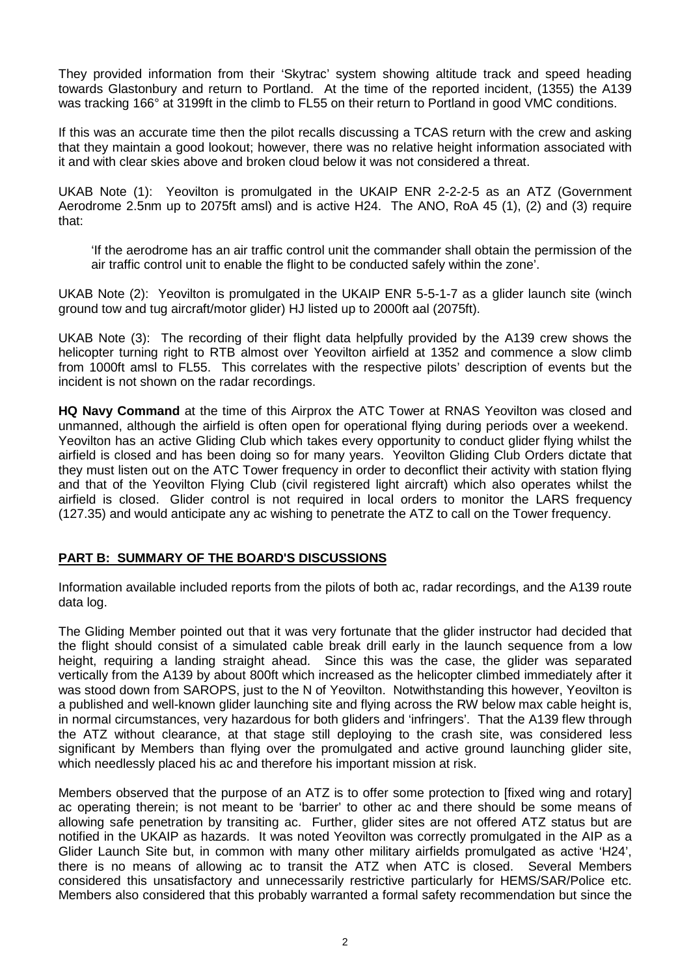They provided information from their 'Skytrac' system showing altitude track and speed heading towards Glastonbury and return to Portland. At the time of the reported incident, (1355) the A139 was tracking 166° at 3199ft in the climb to FL55 on their return to Portland in good VMC conditions.

If this was an accurate time then the pilot recalls discussing a TCAS return with the crew and asking that they maintain a good lookout; however, there was no relative height information associated with it and with clear skies above and broken cloud below it was not considered a threat.

UKAB Note (1): Yeovilton is promulgated in the UKAIP ENR 2-2-2-5 as an ATZ (Government Aerodrome 2.5nm up to 2075ft amsl) and is active H24. The ANO, RoA 45 (1), (2) and (3) require that:

'If the aerodrome has an air traffic control unit the commander shall obtain the permission of the air traffic control unit to enable the flight to be conducted safely within the zone'.

UKAB Note (2): Yeovilton is promulgated in the UKAIP ENR 5-5-1-7 as a glider launch site (winch ground tow and tug aircraft/motor glider) HJ listed up to 2000ft aal (2075ft).

UKAB Note (3): The recording of their flight data helpfully provided by the A139 crew shows the helicopter turning right to RTB almost over Yeovilton airfield at 1352 and commence a slow climb from 1000ft amsl to FL55. This correlates with the respective pilots' description of events but the incident is not shown on the radar recordings.

**HQ Navy Command** at the time of this Airprox the ATC Tower at RNAS Yeovilton was closed and unmanned, although the airfield is often open for operational flying during periods over a weekend. Yeovilton has an active Gliding Club which takes every opportunity to conduct glider flying whilst the airfield is closed and has been doing so for many years. Yeovilton Gliding Club Orders dictate that they must listen out on the ATC Tower frequency in order to deconflict their activity with station flying and that of the Yeovilton Flying Club (civil registered light aircraft) which also operates whilst the airfield is closed. Glider control is not required in local orders to monitor the LARS frequency (127.35) and would anticipate any ac wishing to penetrate the ATZ to call on the Tower frequency.

## **PART B: SUMMARY OF THE BOARD'S DISCUSSIONS**

Information available included reports from the pilots of both ac, radar recordings, and the A139 route data log.

The Gliding Member pointed out that it was very fortunate that the glider instructor had decided that the flight should consist of a simulated cable break drill early in the launch sequence from a low height, requiring a landing straight ahead. Since this was the case, the glider was separated vertically from the A139 by about 800ft which increased as the helicopter climbed immediately after it was stood down from SAROPS, just to the N of Yeovilton. Notwithstanding this however, Yeovilton is a published and well-known glider launching site and flying across the RW below max cable height is, in normal circumstances, very hazardous for both gliders and 'infringers'. That the A139 flew through the ATZ without clearance, at that stage still deploying to the crash site, was considered less significant by Members than flying over the promulgated and active ground launching glider site, which needlessly placed his ac and therefore his important mission at risk.

Members observed that the purpose of an ATZ is to offer some protection to [fixed wing and rotary] ac operating therein; is not meant to be 'barrier' to other ac and there should be some means of allowing safe penetration by transiting ac. Further, glider sites are not offered ATZ status but are notified in the UKAIP as hazards. It was noted Yeovilton was correctly promulgated in the AIP as a Glider Launch Site but, in common with many other military airfields promulgated as active 'H24', there is no means of allowing ac to transit the ATZ when ATC is closed. Several Members considered this unsatisfactory and unnecessarily restrictive particularly for HEMS/SAR/Police etc. Members also considered that this probably warranted a formal safety recommendation but since the